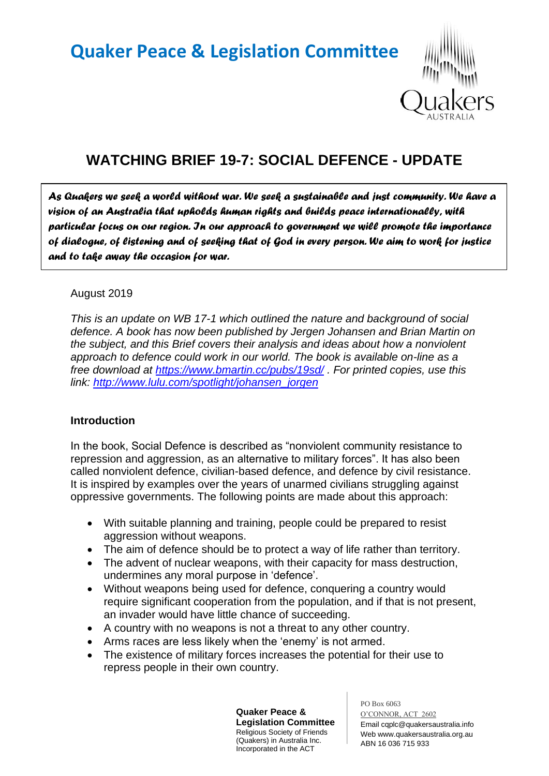# **Quaker Peace & Legislation Committee**



# **WATCHING BRIEF 19-7: SOCIAL DEFENCE - UPDATE**

*As Quakers we seek a world without war. We seek a sustainable and just community. We have a vision of an Australia that upholds human rights and builds peace internationally, with particular focus on our region. In our approach to government we will promote the importance of dialogue, of listening and of seeking that of God in every person. We aim to work for justice and to take away the occasion for war.* 

# August 2019

*This is an update on WB 17-1 which outlined the nature and background of social defence. A book has now been published by Jergen Johansen and Brian Martin on the subject, and this Brief covers their analysis and ideas about how a nonviolent approach to defence could work in our world. The book is available on-line as a free download at <https://www.bmartin.cc/pubs/19sd/> . For printed copies, use this link: [http://www.lulu.com/spotlight/johansen\\_jorgen](http://www.lulu.com/spotlight/johansen_jorgen)*

# **Introduction**

In the book, Social Defence is described as "nonviolent community resistance to repression and aggression, as an alternative to military forces". It has also been called nonviolent defence, civilian-based defence, and defence by civil resistance. It is inspired by examples over the years of unarmed civilians struggling against oppressive governments. The following points are made about this approach:

- With suitable planning and training, people could be prepared to resist aggression without weapons.
- The aim of defence should be to protect a way of life rather than territory.
- The advent of nuclear weapons, with their capacity for mass destruction, undermines any moral purpose in 'defence'.
- Without weapons being used for defence, conquering a country would require significant cooperation from the population, and if that is not present, an invader would have little chance of succeeding.
- A country with no weapons is not a threat to any other country.
- Arms races are less likely when the 'enemy' is not armed.
- The existence of military forces increases the potential for their use to repress people in their own country.

**Quaker Peace & Legislation Committee** Religious Society of Friends (Quakers) in Australia Inc. Incorporated in the ACT

PO Box 6063 O'CONNOR, ACT 2602 Email cqplc@quakersaustralia.info Web www.quakersaustralia.org.au ABN 16 036 715 933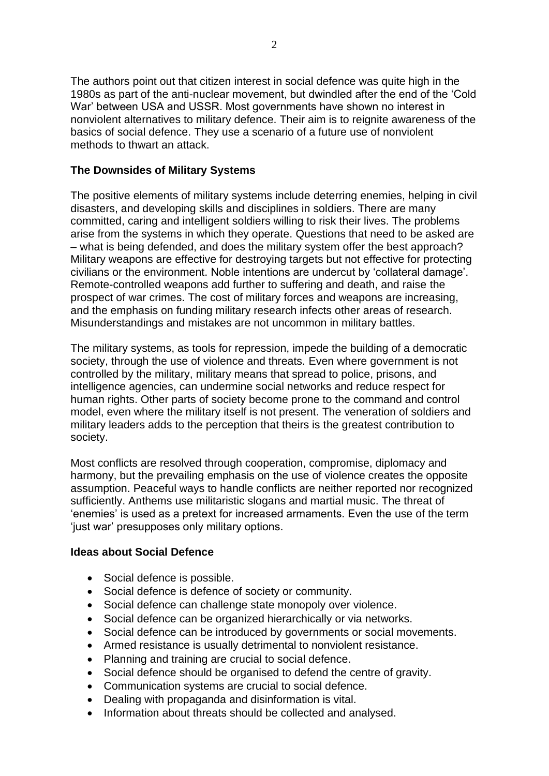The authors point out that citizen interest in social defence was quite high in the 1980s as part of the anti-nuclear movement, but dwindled after the end of the 'Cold War' between USA and USSR. Most governments have shown no interest in nonviolent alternatives to military defence. Their aim is to reignite awareness of the basics of social defence. They use a scenario of a future use of nonviolent methods to thwart an attack.

# **The Downsides of Military Systems**

The positive elements of military systems include deterring enemies, helping in civil disasters, and developing skills and disciplines in soldiers. There are many committed, caring and intelligent soldiers willing to risk their lives. The problems arise from the systems in which they operate. Questions that need to be asked are – what is being defended, and does the military system offer the best approach? Military weapons are effective for destroying targets but not effective for protecting civilians or the environment. Noble intentions are undercut by 'collateral damage'. Remote-controlled weapons add further to suffering and death, and raise the prospect of war crimes. The cost of military forces and weapons are increasing, and the emphasis on funding military research infects other areas of research. Misunderstandings and mistakes are not uncommon in military battles.

The military systems, as tools for repression, impede the building of a democratic society, through the use of violence and threats. Even where government is not controlled by the military, military means that spread to police, prisons, and intelligence agencies, can undermine social networks and reduce respect for human rights. Other parts of society become prone to the command and control model, even where the military itself is not present. The veneration of soldiers and military leaders adds to the perception that theirs is the greatest contribution to society.

Most conflicts are resolved through cooperation, compromise, diplomacy and harmony, but the prevailing emphasis on the use of violence creates the opposite assumption. Peaceful ways to handle conflicts are neither reported nor recognized sufficiently. Anthems use militaristic slogans and martial music. The threat of 'enemies' is used as a pretext for increased armaments. Even the use of the term 'just war' presupposes only military options.

# **Ideas about Social Defence**

- Social defence is possible.
- Social defence is defence of society or community.
- Social defence can challenge state monopoly over violence.
- Social defence can be organized hierarchically or via networks.
- Social defence can be introduced by governments or social movements.
- Armed resistance is usually detrimental to nonviolent resistance.
- Planning and training are crucial to social defence.
- Social defence should be organised to defend the centre of gravity.
- Communication systems are crucial to social defence.
- Dealing with propaganda and disinformation is vital.
- Information about threats should be collected and analysed.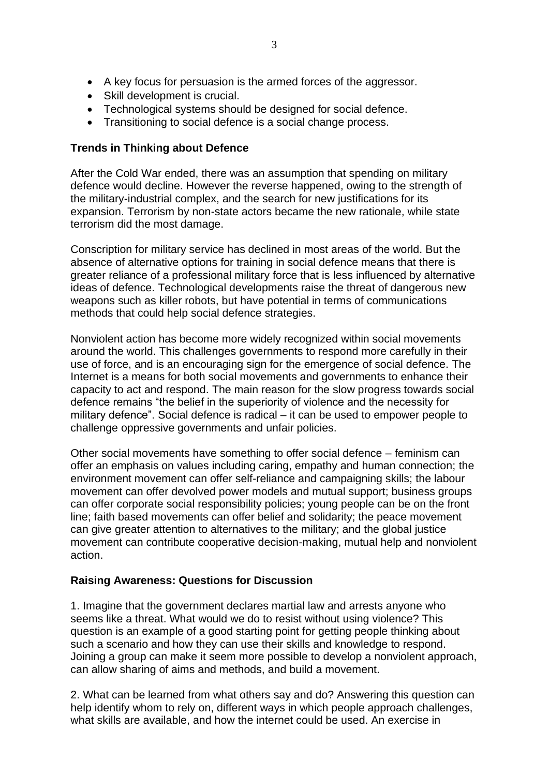- A key focus for persuasion is the armed forces of the aggressor.
- Skill development is crucial.
- Technological systems should be designed for social defence.
- Transitioning to social defence is a social change process.

# **Trends in Thinking about Defence**

After the Cold War ended, there was an assumption that spending on military defence would decline. However the reverse happened, owing to the strength of the military-industrial complex, and the search for new justifications for its expansion. Terrorism by non-state actors became the new rationale, while state terrorism did the most damage.

Conscription for military service has declined in most areas of the world. But the absence of alternative options for training in social defence means that there is greater reliance of a professional military force that is less influenced by alternative ideas of defence. Technological developments raise the threat of dangerous new weapons such as killer robots, but have potential in terms of communications methods that could help social defence strategies.

Nonviolent action has become more widely recognized within social movements around the world. This challenges governments to respond more carefully in their use of force, and is an encouraging sign for the emergence of social defence. The Internet is a means for both social movements and governments to enhance their capacity to act and respond. The main reason for the slow progress towards social defence remains "the belief in the superiority of violence and the necessity for military defence". Social defence is radical – it can be used to empower people to challenge oppressive governments and unfair policies.

Other social movements have something to offer social defence – feminism can offer an emphasis on values including caring, empathy and human connection; the environment movement can offer self-reliance and campaigning skills; the labour movement can offer devolved power models and mutual support; business groups can offer corporate social responsibility policies; young people can be on the front line; faith based movements can offer belief and solidarity; the peace movement can give greater attention to alternatives to the military; and the global justice movement can contribute cooperative decision-making, mutual help and nonviolent action.

# **Raising Awareness: Questions for Discussion**

1. Imagine that the government declares martial law and arrests anyone who seems like a threat. What would we do to resist without using violence? This question is an example of a good starting point for getting people thinking about such a scenario and how they can use their skills and knowledge to respond. Joining a group can make it seem more possible to develop a nonviolent approach, can allow sharing of aims and methods, and build a movement.

2. What can be learned from what others say and do? Answering this question can help identify whom to rely on, different ways in which people approach challenges, what skills are available, and how the internet could be used. An exercise in